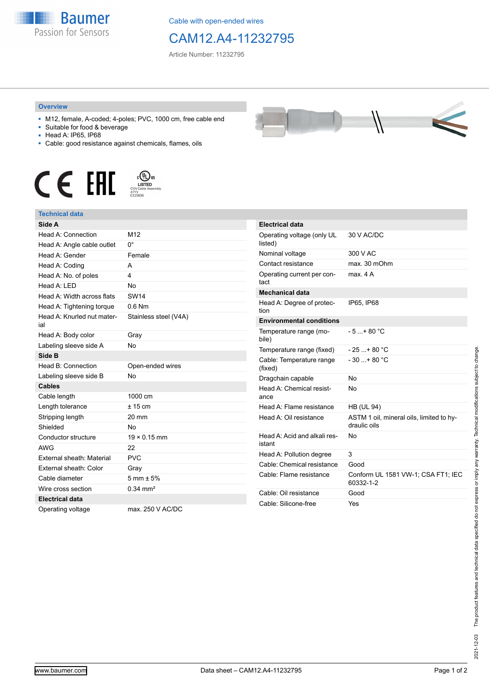

Cable with open-ended wires

## CAM12.A4-11232795

Article Number: 11232795

## **Overview**

- M12, female, A-coded; 4-poles; PVC, 1000 cm, free cable end
- Suitable for food & beverage
- Head A: IP65, IP68
- Cable: good resistance against chemicals, flames, oils





## **Technical data**

| Side A                            |                        | Ele         |
|-----------------------------------|------------------------|-------------|
| Head A: Connection                | M12                    | Op          |
| Head A: Angle cable outlet        | $0^{\circ}$            | list        |
| Head A: Gender                    | Female                 | No          |
| Head A: Coding                    | A                      | Co          |
| Head A: No. of poles              | 4                      | Op          |
| Head A: LED                       | <b>No</b>              | tac         |
| Head A: Width across flats        | <b>SW14</b>            | Me          |
| Head A: Tightening torque         | $0.6$ Nm               | He<br>tior  |
| Head A: Knurled nut mater-<br>ial | Stainless steel (V4A)  | En          |
| Head A: Body color                | Gray                   | Ter<br>bile |
| Labeling sleeve side A            | No                     | Ter         |
| Side B                            |                        | Сa          |
| Head B: Connection                | Open-ended wires       | (fix        |
| Labeling sleeve side B            | <b>No</b>              | Dra         |
| <b>Cables</b>                     |                        | He          |
| Cable length                      | 1000 cm                | an          |
| Length tolerance                  | $± 15$ cm              | He          |
| Stripping length                  | 20 mm                  | He          |
| Shielded                          | <b>No</b>              |             |
| Conductor structure               | $19 \times 0.15$ mm    | He          |
| <b>AWG</b>                        | 22                     | ista        |
| External sheath: Material         | <b>PVC</b>             | He          |
| External sheath: Color            | Gray                   | Сa          |
| Cable diameter                    | $5 \text{ mm} \pm 5\%$ | Сa          |
| Wire cross section                | $0.34$ mm <sup>2</sup> | Сa          |
| <b>Electrical data</b>            |                        | Ca          |
| Operating voltage                 | max. 250 V AC/DC       |             |

| Electrical data                       |              |
|---------------------------------------|--------------|
|                                       |              |
| Operating voltage (only UL<br>listed) | 30 V AC/DC   |
| Nominal voltage                       | 300 V AC     |
| Contact resistance                    | max. 30 mOhm |
| Operating current per con-<br>tact    | max. 4 A     |
| Mechanical data                       |              |
| Head A: Degree of protec-<br>tion     | IP65, IP68   |
| Environmental conditions              |              |

| <b>Environmental conditions</b>        |                                                          |
|----------------------------------------|----------------------------------------------------------|
| Temperature range (mo-<br>bile)        | $-5+80 °C$                                               |
| Temperature range (fixed)              | $-25$ + 80 °C                                            |
| Cable: Temperature range<br>(fixed)    | $-30 + 80 °C$                                            |
| Dragchain capable                      | No                                                       |
| Head A: Chemical resist-<br>ance       | No                                                       |
| Head A: Flame resistance               | HB (UL 94)                                               |
| Head A: Oil resistance                 | ASTM 1 oil, mineral oils, limited to hy-<br>draulic oils |
| Head A: Acid and alkali res-<br>istant | Nο                                                       |
| Head A: Pollution degree               | 3                                                        |
| Cable: Chemical resistance             | Good                                                     |
| Cable: Flame resistance                | Conform UL 1581 VW-1; CSA FT1; IEC<br>60332-1-2          |
| Cable: Oil resistance                  | Good                                                     |
| Cable: Silicone-free                   | Yes                                                      |